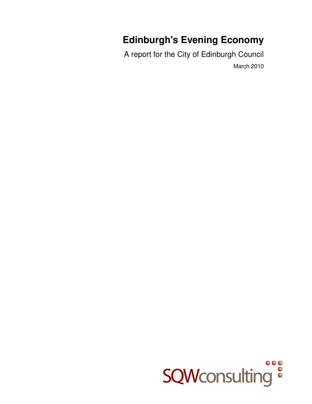# **Edinburgh's Evening Economy**

A report for the City of Edinburgh Council March 2010

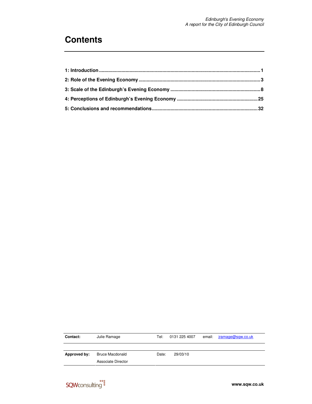## **Contents**

| Contact:     | Julie Ramage           | Tel:  | 0131 225 4007 | email: jramage@sqw.co.uk |
|--------------|------------------------|-------|---------------|--------------------------|
| Approved by: | <b>Bruce Macdonald</b> | Date: | 29/03/10      |                          |
|              | Associate Director     |       |               |                          |

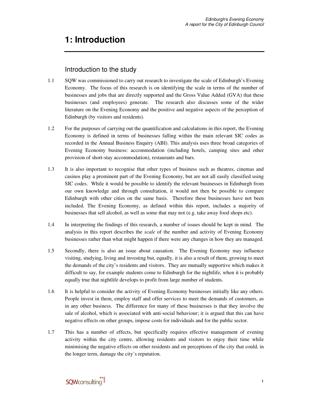## **1: Introduction**

## Introduction to the study

- 1.1 SQW was commissioned to carry out research to investigate the scale of Edinburgh's Evening Economy. The focus of this research is on identifying the scale in terms of the number of businesses and jobs that are directly supported and the Gross Value Added (GVA) that these businesses (and employees) generate. The research also discusses some of the wider literature on the Evening Economy and the positive and negative aspects of the perception of Edinburgh (by visitors and residents).
- 1.2 For the purposes of carrying out the quantification and calculations in this report, the Evening Economy is defined in terms of businesses falling within the main relevant SIC codes as recorded in the Annual Business Enquiry (ABI). This analysis uses three broad categories of Evening Economy business: accommodation (including hotels, camping sites and other provision of short-stay accommodation), restaurants and bars.
- 1.3 It is also important to recognise that other types of business such as theatres, cinemas and casinos play a prominent part of the Evening Economy, but are not all easily classified using SIC codes. While it would be possible to identify the relevant businesses in Edinburgh from our own knowledge and through consultation, it would not then be possible to compare Edinburgh with other cities on the same basis. Therefore these businesses have not been included. The Evening Economy, as defined within this report, includes a majority of businesses that sell alcohol, as well as some that may not (e.g. take away food shops etc).
- 1.4 In interpreting the findings of this research, a number of issues should be kept in mind. The analysis in this report describes the *scale* of the number and activity of Evening Economy businesses rather than what might happen if there were any changes in how they are managed.
- 1.5 Secondly, there is also an issue about causation. The Evening Economy may influence visiting, studying, living and investing but, equally, it is also a result of them, growing to meet the demands of the city's residents and visitors. They are mutually supportive which makes it difficult to say, for example students come to Edinburgh for the nightlife, when it is probably equally true that nightlife develops to profit from large number of students.
- 1.6 It is helpful to consider the activity of Evening Economy businesses initially like any others. People invest in them, employ staff and offer services to meet the demands of customers, as in any other business. The difference for many of these businesses is that they involve the sale of alcohol, which is associated with anti-social behaviour; it is argued that this can have negative effects on other groups, impose costs for individuals and for the public sector.
- 1.7 This has a number of effects, but specifically requires effective management of evening activity within the city centre, allowing residents and visitors to enjoy their time while minimising the negative effects on other residents and on perceptions of the city that could, in the longer term, damage the city's reputation.

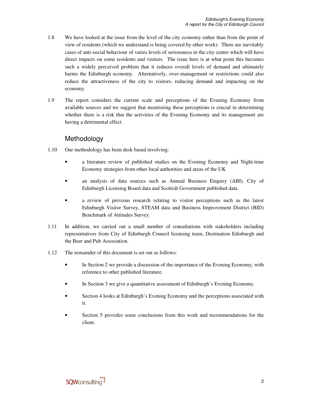- 1.8 We have looked at the issue from the level of the city economy rather than from the point of view of residents (which we understand is being covered by other work). There are inevitably cases of anti-social behaviour of varies levels of seriousness in the city centre which will have direct impacts on some residents and visitors. The issue here is at what point this becomes such a widely perceived problem that it reduces overall levels of demand and ultimately harms the Edinburgh economy. Alternatively, over-management or restrictions could also reduce the attractiveness of the city to visitors, reducing demand and impacting on the economy.
- 1.9 The report considers the current scale and perceptions of the Evening Economy from available sources and we suggest that monitoring these perceptions is crucial in determining whether there is a risk that the activities of the Evening Economy and its management are having a detrimental effect.

## Methodology

- 1.10 Our methodology has been desk based involving:
	- a literature review of published studies on the Evening Economy and Night-time Economy strategies from other local authorities and areas of the UK
	- an analysis of data sources such as Annual Business Enquiry (ABI), City of Edinburgh Licensing Board data and Scottish Government published data
	- a review of previous research relating to visitor perceptions such as the latest Edinburgh Visitor Survey, STEAM data and Business Improvement District (BID) Benchmark of Attitudes Survey.
- 1.11 In addition, we carried out a small number of consultations with stakeholders including representatives from City of Edinburgh Council licensing team, Destination Edinburgh and the Beer and Pub Association.
- 1.12 The remainder of this document is set out as follows:
	- In Section 2 we provide a discussion of the importance of the Evening Economy, with reference to other published literature.
	- In Section 3 we give a quantitative assessment of Edinburgh's Evening Economy.
	- Section 4 looks at Edinburgh's Evening Economy and the perceptions associated with it.
	- Section 5 provides some conclusions from this work and recommendations for the client.

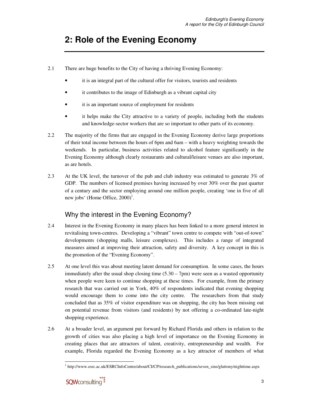## **2: Role of the Evening Economy**

- 2.1 There are huge benefits to the City of having a thriving Evening Economy:
	- it is an integral part of the cultural offer for visitors, tourists and residents
	- it contributes to the image of Edinburgh as a vibrant capital city
	- it is an important source of employment for residents
	- it helps make the City attractive to a variety of people, including both the students and knowledge-sector workers that are so important to other parts of its economy.
- 2.2 The majority of the firms that are engaged in the Evening Economy derive large proportions of their total income between the hours of 6pm and 6am – with a heavy weighting towards the weekends. In particular, business activities related to alcohol feature significantly in the Evening Economy although clearly restaurants and cultural/leisure venues are also important, as are hotels.
- 2.3 At the UK level, the turnover of the pub and club industry was estimated to generate 3% of GDP. The numbers of licensed premises having increased by over 30% over the past quarter of a century and the sector employing around one million people, creating 'one in five of all new jobs' (Home Office,  $2000$ <sup>1</sup>.

## Why the interest in the Evening Economy?

- 2.4 Interest in the Evening Economy in many places has been linked to a more general interest in revitalising town-centres. Developing a "vibrant" town centre to compete with "out-of-town" developments (shopping malls, leisure complexes). This includes a range of integrated measures aimed at improving their attraction, safety and diversity. A key concept in this is the promotion of the "Evening Economy".
- 2.5 At one level this was about meeting latent demand for consumption. In some cases, the hours immediately after the usual shop closing time  $(5.30 - 7 \text{pm})$  were seen as a wasted opportunity when people were keen to continue shopping at these times. For example, from the primary research that was carried out in York, 40% of respondents indicated that evening shopping would encourage them to come into the city centre. The researchers from that study concluded that as 35% of visitor expenditure was on shopping, the city has been missing out on potential revenue from visitors (and residents) by not offering a co-ordinated late-night shopping experience.
- 2.6 At a broader level, an argument put forward by Richard Florida and others in relation to the growth of cities was also placing a high level of importance on the Evening Economy in creating places that are attractors of talent, creativity, entrepreneurship and wealth. For example, Florida regarded the Evening Economy as a key attractor of members of what

<sup>-</sup>1 http://www.esrc.ac.uk/ESRCInfoCentre/about/CI/CP/research\_publications/seven\_sins/gluttony/nighttime.aspx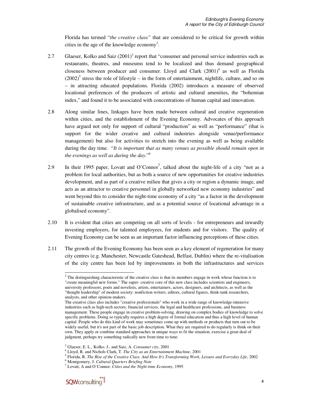Florida has termed "*the creative class"* that are considered to be critical for growth within cities in the age of the knowledge economy<sup>2</sup>.

- 2.7 Glaeser, Kolko and Saiz  $(2001)^3$  report that "consumer and personal service industries such as restaurants, theatres, and museums tend to be localized and thus demand geographical closeness between producer and consumer. Lloyd and Clark  $(2001)^4$  as well as Florida  $(2002)^5$  stress the role of lifestyle – in the form of entertainment, nightlife, culture, and so on – in attracting educated populations. Florida (2002) introduces a measure of observed locational preferences of the producers of artistic and cultural amenities, the "bohemian index," and found it to be associated with concentrations of human capital and innovation.
- 2.8 Along similar lines, linkages have been made between cultural and creative regeneration within cities, and the establishment of the Evening Economy. Advocates of this approach have argued not only for support of cultural "production" as well as "performance" (that is support for the wider creative and cultural industries alongside venue/performance management) but also for activities to stretch into the evening as well as being available during the day time. "*It is important that as many venues as possible should remain open in the evenings as well as during the day*."<sup>6</sup>
- 2.9 In their 1995 paper, Lovatt and O'Connor<sup>7</sup>, talked about the night-life of a city "not as a problem for local authorities, but as both a source of new opportunities for creative industries development, and as part of a creative milieu that gives a city or region a dynamic image, and acts as an attractor to creative personnel in globally networked new economy industries" and went beyond this to consider the night-time economy of a city "as a factor in the development of sustainable creative infrastructure, and as a potential source of locational advantage in a globalised economy".
- 2.10 It is evident that cities are competing on all sorts of levels for entrepreneurs and inwardly investing employers, for talented employees, for students and for visitors. The quality of Evening Economy can be seen as an important factor influencing perceptions of these cities.
- 2.11 The growth of the Evening Economy has been seen as a key element of regeneration for many city centres (e.g. Manchester, Newcastle Gateshead, Belfast, Dublin) where the re-vitalisation of the city centre has been led by improvements in both the infrastructures and services

<sup>&</sup>lt;sup>2</sup> The distinguishing characteristic of the creative class is that its members engage in work whose function is to "create meaningful new forms." The super- creative core of this new class includes scientists and engineers, university professors, poets and novelists, artists, entertainers, actors, designers, and architects, as well as the "thought leadership" of modern society: nonfiction writers, editors, cultural figures, think-tank researchers, analysts, and other opinion-makers.

The creative class also includes "creative professionals" who work in a wide range of knowledge-intensive industries such as high-tech sectors, financial services, the legal and healthcare professions, and business management. These people engage in creative problem-solving, drawing on complex bodies of knowledge to solve specific problems. Doing so typically requires a high degree of formal education and thus a high level of human capital. People who do this kind of work may sometimes come up with methods or products that turn out to be widely useful, but it's not part of the basic job description. What they are required to do regularly is think on their own. They apply or combine standard approaches in unique ways to fit the situation, exercise a great deal of judgment, perhaps try something radically new from time to time.

<sup>3</sup> Glaeser, E. L., Kolko. J., and Saiz, A. *Consumer city*, 2001

<sup>4</sup> Lloyd, R. and Nichols Clark, T. *The City as an Entertainment Machine*, 2001

<sup>5</sup> Florida, R. *The Rise of the Creative Class. And How It's Transforming Work, Leisure and Everyday Life*, 2002

<sup>6</sup> Montgomery, J. *Cultural Quarters Briefing Note*

<sup>7</sup> Lovatt, A and O'Connor, *Cities and the Night-time Economy*, 1995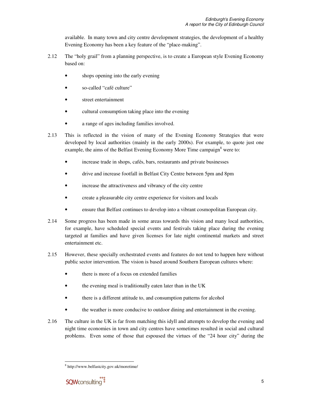available. In many town and city centre development strategies, the development of a healthy Evening Economy has been a key feature of the "place-making".

- 2.12 The "holy grail" from a planning perspective, is to create a European style Evening Economy based on:
	- shops opening into the early evening
	- so-called "café culture"
	- street entertainment
	- cultural consumption taking place into the evening
	- a range of ages including families involved.
- 2.13 This is reflected in the vision of many of the Evening Economy Strategies that were developed by local authorities (mainly in the early 2000s). For example, to quote just one example, the aims of the Belfast Evening Economy More Time campaign<sup>8</sup> were to:
	- increase trade in shops, cafés, bars, restaurants and private businesses
	- drive and increase footfall in Belfast City Centre between 5pm and 8pm
	- increase the attractiveness and vibrancy of the city centre
	- create a pleasurable city centre experience for visitors and locals
	- ensure that Belfast continues to develop into a vibrant cosmopolitan European city.
- 2.14 Some progress has been made in some areas towards this vision and many local authorities, for example, have scheduled special events and festivals taking place during the evening targeted at families and have given licenses for late night continental markets and street entertainment etc.
- 2.15 However, these specially orchestrated events and features do not tend to happen here without public sector intervention. The vision is based around Southern European cultures where:
	- there is more of a focus on extended families
	- the evening meal is traditionally eaten later than in the UK
	- there is a different attitude to, and consumption patterns for alcohol
	- the weather is more conducive to outdoor dining and entertainment in the evening.
- 2.16 The culture in the UK is far from matching this idyll and attempts to develop the evening and night time economies in town and city centres have sometimes resulted in social and cultural problems. Even some of those that espoused the virtues of the "24 hour city" during the

-

<sup>8</sup> http://www.belfastcity.gov.uk/moretime/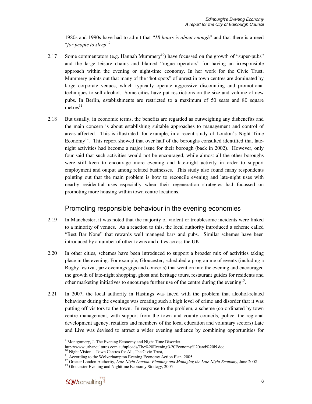1980s and 1990s have had to admit that "*18 hours is about enough*" and that there is a need "for people to sleep"<sup>9</sup>.

- 2.17 Some commentators (e.g. Hannah Mummery<sup>10</sup>) have focussed on the growth of "super-pubs" and the large leisure chains and blamed "rogue operators" for having an irresponsible approach within the evening or night-time economy. In her work for the Civic Trust, Mummery points out that many of the "hot-spots" of unrest in town centres are dominated by large corporate venues, which typically operate aggressive discounting and promotional techniques to sell alcohol. Some cities have put restrictions on the size and volume of new pubs. In Berlin, establishments are restricted to a maximum of 50 seats and 80 square metres $^{11}$ .
- 2.18 But usually, in economic terms, the benefits are regarded as outweighing any disbenefits and the main concern is about establishing suitable approaches to management and control of areas affected. This is illustrated, for example, in a recent study of London's Night Time Economy<sup>12</sup>. This report showed that over half of the boroughs consulted identified that latenight activities had become a major issue for their borough (back in 2002). However, only four said that such activities would not be encouraged, while almost all the other boroughs were still keen to encourage more evening and late-night activity in order to support employment and output among related businesses. This study also found many respondents pointing out that the main problem is how to reconcile evening and late-night uses with nearby residential uses especially when their regeneration strategies had focussed on promoting more housing within town centre locations.

### Promoting responsible behaviour in the evening economies

- 2.19 In Manchester, it was noted that the majority of violent or troublesome incidents were linked to a minority of venues. As a reaction to this, the local authority introduced a scheme called "Best Bar None" that rewards well managed bars and pubs. Similar schemes have been introduced by a number of other towns and cities across the UK.
- 2.20 In other cities, schemes have been introduced to support a broader mix of activities taking place in the evening. For example, Gloucester, scheduled a programme of events (including a Rugby festival, jazz evenings gigs and concerts) that went on into the evening and encouraged the growth of late-night shopping, ghost and heritage tours, restaurant guides for residents and other marketing initiatives to encourage further use of the centre during the evening<sup>13</sup>.
- 2.21 In 2007, the local authority in Hastings was faced with the problem that alcohol-related behaviour during the evenings was creating such a high level of crime and disorder that it was putting off visitors to the town. In response to the problem, a scheme (co-ordinated by town centre management, with support from the town and county councils, police, the regional development agency, retailers and members of the local education and voluntary sectors) Late and Live was devised to attract a wider evening audience by combining opportunities for

 9 Montgomery, J. The Evening Economy and Night Time Disorder.

http://www.urbancultures.com.au/uploads/The%20Evening%20Economy%20and%20N.doc

 $10$  Night Vision – Town Centres for All, The Civic Trust,

<sup>&</sup>lt;sup>11</sup> According to the Wolverhampton Evening Economy Action Plan, 2005

<sup>12</sup> Greater London Authority, *Late-Night London: Planning and Managing the Late-Night Economy*, June 2002

<sup>&</sup>lt;sup>13</sup> Gloucester Evening and Nighttime Economy Strategy, 2005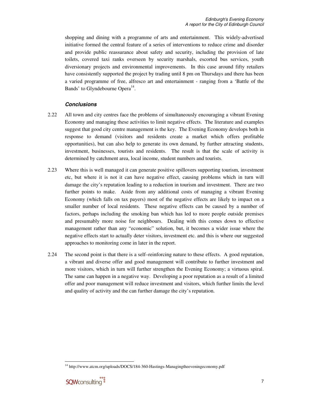shopping and dining with a programme of arts and entertainment. This widely-advertised initiative formed the central feature of a series of interventions to reduce crime and disorder and provide public reassurance about safety and security, including the provision of late toilets, covered taxi ranks overseen by security marshals, escorted bus services, youth diversionary projects and environmental improvements. In this case around fifty retailers have consistently supported the project by trading until 8 pm on Thursdays and there has been a varied programme of free, alfresco art and entertainment - ranging from a 'Battle of the Bands' to Glyndebourne Opera<sup>14</sup>.

#### **Conclusions**

- 2.22 All town and city centres face the problems of simultaneously encouraging a vibrant Evening Economy and managing these activities to limit negative effects. The literature and examples suggest that good city centre management is the key. The Evening Economy develops both in response to demand (visitors and residents create a market which offers profitable opportunities), but can also help to generate its own demand, by further attracting students, investment, businesses, tourists and residents. The result is that the scale of activity is determined by catchment area, local income, student numbers and tourists.
- 2.23 Where this is well managed it can generate positive spillovers supporting tourism, investment etc, but where it is not it can have negative effect, causing problems which in turn will damage the city's reputation leading to a reduction in tourism and investment. There are two further points to make. Aside from any additional costs of managing a vibrant Evening Economy (which falls on tax payers) most of the negative effects are likely to impact on a smaller number of local residents. These negative effects can be caused by a number of factors, perhaps including the smoking ban which has led to more people outside premises and presumably more noise for neighbours. Dealing with this comes down to effective management rather than any "economic" solution, but, it becomes a wider issue where the negative effects start to actually deter visitors, investment etc. and this is where our suggested approaches to monitoring come in later in the report.
- 2.24 The second point is that there is a self–reinforcing nature to these effects. A good reputation, a vibrant and diverse offer and good management will contribute to further investment and more visitors, which in turn will further strengthen the Evening Economy; a virtuous spiral. The same can happen in a negative way. Developing a poor reputation as a result of a limited offer and poor management will reduce investment and visitors, which further limits the level and quality of activity and the can further damage the city's reputation.

<sup>-</sup><sup>14</sup> http://www.atcm.org/uploads/DOCS/184-360-Hastings-Managingtheeveningeconomy.pdf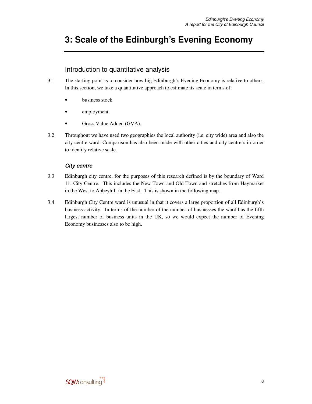## **3: Scale of the Edinburgh's Evening Economy**

## Introduction to quantitative analysis

- 3.1 The starting point is to consider how big Edinburgh's Evening Economy is relative to others. In this section, we take a quantitative approach to estimate its scale in terms of:
	- business stock
	- employment
	- Gross Value Added (GVA).
- 3.2 Throughout we have used two geographies the local authority (i.e. city wide) area and also the city centre ward. Comparison has also been made with other cities and city centre's in order to identify relative scale.

#### **City centre**

- 3.3 Edinburgh city centre, for the purposes of this research defined is by the boundary of Ward 11: City Centre. This includes the New Town and Old Town and stretches from Haymarket in the West to Abbeyhill in the East. This is shown in the following map.
- 3.4 Edinburgh City Centre ward is unusual in that it covers a large proportion of all Edinburgh's business activity. In terms of the number of the number of businesses the ward has the fifth largest number of business units in the UK, so we would expect the number of Evening Economy businesses also to be high.

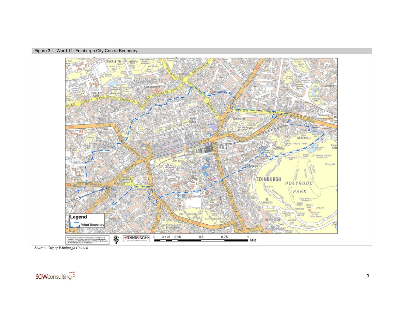



*Source: City of Edinburgh Council* 

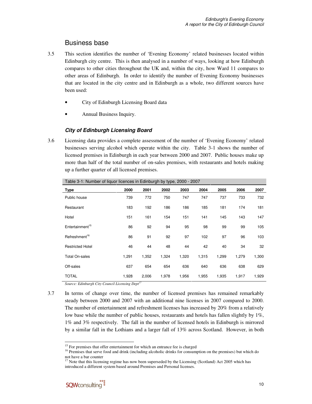## Business base

- 3.5 This section identifies the number of 'Evening Economy' related businesses located within Edinburgh city centre. This is then analysed in a number of ways, looking at how Edinburgh compares to other cities throughout the UK and, within the city, how Ward 11 compares to other areas of Edinburgh. In order to identify the number of Evening Economy businesses that are located in the city centre and in Edinburgh as a whole, two different sources have been used:
	- City of Edinburgh Licensing Board data
	- Annual Business Inquiry.

#### **City of Edinburgh Licensing Board**

3.6 Licensing data provides a complete assessment of the number of 'Evening Economy' related businesses serving alcohol which operate within the city. Table 3-1 shows the number of licensed premises in Edinburgh in each year between 2000 and 2007. Public houses make up more than half of the total number of on-sales premises, with restaurants and hotels making up a further quarter of all licensed premises.

|                             |       |       | , , , |       |       |       |       |       |
|-----------------------------|-------|-------|-------|-------|-------|-------|-------|-------|
| <b>Type</b>                 | 2000  | 2001  | 2002  | 2003  | 2004  | 2005  | 2006  | 2007  |
| Public house                | 739   | 772   | 750   | 747   | 747   | 737   | 733   | 732   |
| Restaurant                  | 183   | 192   | 186   | 186   | 185   | 181   | 174   | 181   |
| Hotel                       | 151   | 161   | 154   | 151   | 141   | 145   | 143   | 147   |
| Entertainment <sup>15</sup> | 86    | 92    | 94    | 95    | 98    | 99    | 99    | 105   |
| Refreshment <sup>16</sup>   | 86    | 91    | 92    | 97    | 102   | 97    | 96    | 103   |
| <b>Restricted Hotel</b>     | 46    | 44    | 48    | 44    | 42    | 40    | 34    | 32    |
| <b>Total On-sales</b>       | 1,291 | 1,352 | 1,324 | 1,320 | 1,315 | 1,299 | 1,279 | 1,300 |
| Off-sales                   | 637   | 654   | 654   | 636   | 640   | 636   | 638   | 629   |
| <b>TOTAL</b>                | 1,928 | 2,006 | 1,978 | 1,956 | 1,955 | 1,935 | 1,917 | 1,929 |

Table 3-1: Number of liquor licences in Edinburgh by type, 2000 - 2007

*Source: Edinburgh City Council Licensing Dept<sup>17</sup>*

3.7 In terms of change over time, the number of licensed premises has remained remarkably steady between 2000 and 2007 with an additional nine licenses in 2007 compared to 2000. The number of entertainment and refreshment licenses has increased by 20% from a relatively low base while the number of public houses, restaurants and hotels has fallen slightly by 1%, 1% and 3% respectively. The fall in the number of licensed hotels in Edinburgh is mirrored by a similar fall in the Lothians and a larger fall of 13% across Scotland. However, in both

<sup>-</sup><sup>15</sup> For premises that offer entertainment for which an entrance fee is charged

<sup>&</sup>lt;sup>16</sup> Premises that serve food and drink (including alcoholic drinks for consumption on the premises) but which do not have a bar counter

<sup>&</sup>lt;sup>17</sup> Note that this licensing regime has now been superseded by the Licensing (Scotland) Act 2005 which has introduced a different system based around Premises and Personal licenses.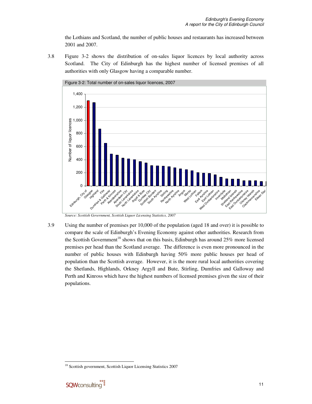the Lothians and Scotland, the number of public houses and restaurants has increased between 2001 and 2007.

3.8 Figure 3-2 shows the distribution of on-sales liquor licences by local authority across Scotland. The City of Edinburgh has the highest number of licensed premises of all authorities with only Glasgow having a comparable number.



*Source: Scottish Government, Scottish Liquor Licensing Statistics, 2007* 

3.9 Using the number of premises per 10,000 of the population (aged 18 and over) it is possible to compare the scale of Edinburgh's Evening Economy against other authorities. Research from the Scottish Government<sup>18</sup> shows that on this basis, Edinburgh has around  $25\%$  more licensed premises per head than the Scotland average. The difference is even more pronounced in the number of public houses with Edinburgh having 50% more public houses per head of population than the Scottish average. However, it is the more rural local authorities covering the Shetlands, Highlands, Orkney Argyll and Bute, Stirling, Dumfries and Galloway and Perth and Kinross which have the highest numbers of licensed premises given the size of their populations.

-

<sup>&</sup>lt;sup>18</sup> Scottish government, Scottish Liquor Licensing Statistics 2007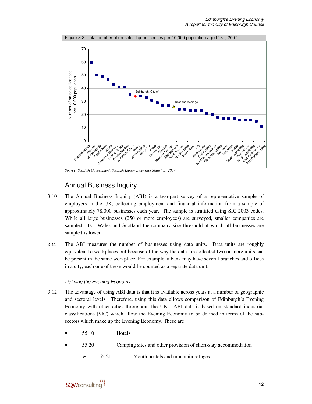

*Source: Scottish Government, Scottish Liquor Licensing Statistics, 2007* 

## Annual Business Inquiry

- 3.10 The Annual Business Inquiry (ABI) is a two-part survey of a representative sample of employers in the UK, collecting employment and financial information from a sample of approximately 78,000 businesses each year. The sample is stratified using SIC 2003 codes. While all large businesses (250 or more employees) are surveyed, smaller companies are sampled. For Wales and Scotland the company size threshold at which all businesses are sampled is lower.
- 3.11 The ABI measures the number of businesses using data units. Data units are roughly equivalent to workplaces but because of the way the data are collected two or more units can be present in the same workplace. For example, a bank may have several branches and offices in a city, each one of these would be counted as a separate data unit.

#### Defining the Evening Economy

- 3.12 The advantage of using ABI data is that it is available across years at a number of geographic and sectoral levels. Therefore, using this data allows comparison of Edinburgh's Evening Economy with other cities throughout the UK. ABI data is based on standard industrial classifications (SIC) which allow the Evening Economy to be defined in terms of the subsectors which make up the Evening Economy. These are:
	- 55.10 Hotels
	- 55.20 Camping sites and other provision of short-stay accommodation
		- $\geq$  55.21 Youth hostels and mountain refuges

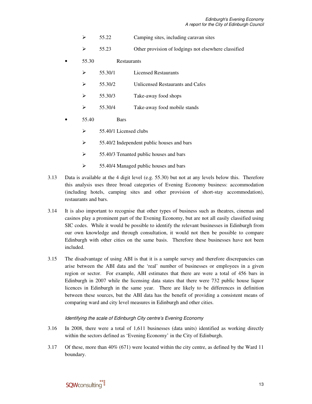| 55.22<br>Camping sites, including caravan sites |  |
|-------------------------------------------------|--|
|-------------------------------------------------|--|

- $\geq$  55.23 Other provision of lodgings not elsewhere classified
- 55.30 Restaurants

|               | 55.30/1 | <b>Licensed Restaurants</b>      |
|---------------|---------|----------------------------------|
| $\rightarrow$ | 55.30/2 | Unlicensed Restaurants and Cafes |
| $\rightarrow$ | 55.30/3 | Take-away food shops             |
|               | 55.30/4 | Take-away food mobile stands     |

- 55.40 Bars
	- $\geq$  55.40/1 Licensed clubs
	- $\geq$  55.40/2 Independent public houses and bars
	- $\geq$  55.40/3 Tenanted public houses and bars
	- $\geq$  55.40/4 Managed public houses and bars
- 3.13 Data is available at the 4 digit level (e.g. 55.30) but not at any levels below this. Therefore this analysis uses three broad categories of Evening Economy business: accommodation (including hotels, camping sites and other provision of short-stay accommodation), restaurants and bars.
- 3.14 It is also important to recognise that other types of business such as theatres, cinemas and casinos play a prominent part of the Evening Economy, but are not all easily classified using SIC codes. While it would be possible to identify the relevant businesses in Edinburgh from our own knowledge and through consultation, it would not then be possible to compare Edinburgh with other cities on the same basis. Therefore these businesses have not been included.
- 3.15 The disadvantage of using ABI is that it is a sample survey and therefore discrepancies can arise between the ABI data and the 'real' number of businesses or employees in a given region or sector. For example, ABI estimates that there are were a total of 456 bars in Edinburgh in 2007 while the licensing data states that there were 732 public house liquor licences in Edinburgh in the same year. There are likely to be differences in definition between these sources, but the ABI data has the benefit of providing a consistent means of comparing ward and city level measures in Edinburgh and other cities.

#### Identifying the scale of Edinburgh City centre's Evening Economy

- 3.16 In 2008, there were a total of 1,611 businesses (data units) identified as working directly within the sectors defined as 'Evening Economy' in the City of Edinburgh.
- 3.17 Of these, more than 40% (671) were located within the city centre, as defined by the Ward 11 boundary.

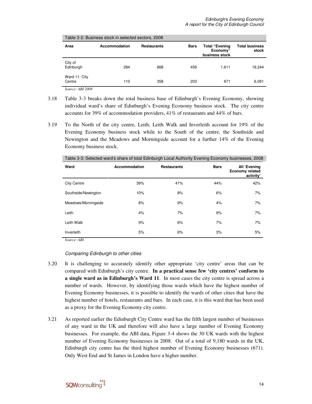| Table 3-2: Business stock in selected sectors, 2008 |               |                    |             |                                                     |                                |  |  |  |  |  |
|-----------------------------------------------------|---------------|--------------------|-------------|-----------------------------------------------------|--------------------------------|--|--|--|--|--|
| Area                                                | Accommodation | <b>Restaurants</b> | <b>Bars</b> | <b>Total "Evening</b><br>Economy"<br>business stock | <b>Total business</b><br>stock |  |  |  |  |  |
| City of<br>Edinburgh                                | 284           | 868                | 459         | 1.611                                               | 19,244                         |  |  |  |  |  |
| Ward 11: City<br>Centre                             | 110           | 358                | 203         | 671                                                 | 6,091                          |  |  |  |  |  |
| Source: ABI 2008                                    |               |                    |             |                                                     |                                |  |  |  |  |  |

- 3.18 Table 3-3 breaks down the total business base of Edinburgh's Evening Economy, showing individual ward's share of Edinburgh's Evening Economy business stock. The city centre accounts for 39% of accommodation providers, 41% of restaurants and 44% of bars.
- 3.19 To the North of the city centre, Leith, Leith Walk and Inverleith account for 19% of the Evening Economy business stock while to the South of the centre, the Southside and Newington and the Meadows and Morningside account for a further 14% of the Evening Economy business stock.

Table 3-3: Selected ward's share of total Edinburgh Local Authority Evening Economy businesses, 2008 Ward **Accommodation** Restaurants **Bars** All 'Evening **Economy related activity'**  City Centre 39% 41% 44% 42% Southside/Newington 10% 8% 6% 6% 7% Meadows/Morningside 8% 8% 9% 4% 7% 7% Leith 4% 7% 9% 7% Leith Walk 9% 6% 7% 7%

Inverleith 5% 6% 3% 5%

*Source: ABI* 

#### Comparing Edinburgh to other cities

- 3.20 It is challenging to accurately identify other appropriate 'city centre' areas that can be compared with Edinburgh's city centre. **In a practical sense few 'city centres' conform to a single ward as in Edinburgh's Ward 11**. In most cases the city centre is spread across a number of wards. However, by identifying those wards which have the highest number of Evening Economy businesses, it is possible to identify the wards of other cities that have the highest number of hotels, restaurants and bars. In each case, it is this ward that has been used as a proxy for the Evening Economy city centre.
- 3.21 As reported earlier the Edinburgh City Centre ward has the fifth largest number of businesses of any ward in the UK and therefore will also have a large number of Evening Economy businesses. For example, the ABI data, Figure 3-4 shows the 30 UK wards with the highest number of Evening Economy businesses in 2008. Out of a total of 9,180 wards in the UK, Edinburgh city centre has the third highest number of Evening Economy businesses (671). Only West End and St James in London have a higher number.

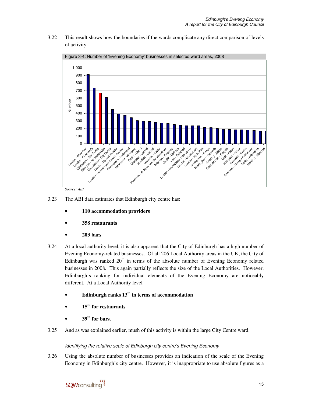3.22 This result shows how the boundaries if the wards complicate any direct comparison of levels of activity.



- 3.23 The ABI data estimates that Edinburgh city centre has:
	- **110 accommodation providers**
	- **358 restaurants**
	- **203 bars**
- 3.24 At a local authority level, it is also apparent that the City of Edinburgh has a high number of Evening Economy-related businesses. Of all 206 Local Authority areas in the UK, the City of Edinburgh was ranked  $20<sup>th</sup>$  in terms of the absolute number of Evening Economy related businesses in 2008. This again partially reflects the size of the Local Authorities. However, Edinburgh's ranking for individual elements of the Evening Economy are noticeably different. At a Local Authority level
	- **Edinburgh ranks 13th in terms of accommodation**
	- **15th for restaurants**
	- **39th for bars.**
- 3.25 And as was explained earlier, mush of this activity is within the large City Centre ward.

#### Identifying the relative scale of Edinburgh city centre's Evening Economy

3.26 Using the absolute number of businesses provides an indication of the scale of the Evening Economy in Edinburgh's city centre. However, it is inappropriate to use absolute figures as a

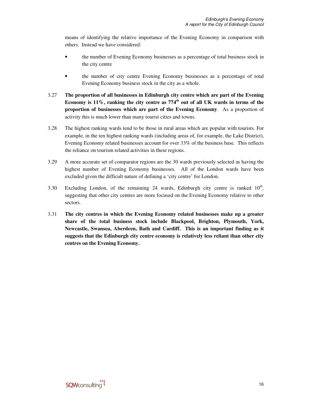means of identifying the relative importance of the Evening Economy in comparison with others. Instead we have considered:

- the number of Evening Economy businesses as a percentage of total business stock in the city centre
- the number of city centre Evening Economy businesses as a percentage of total Evening Economy business stock in the city as a whole.
- 3.27 **The proportion of all businesses in Edinburgh city centre which are part of the Evening Economy is 11%, ranking the city centre as 774th out of all UK wards in terms of the proportion of businesses which are part of the Evening Economy**. As a proportion of activity this is much lower than many tourist cities and towns.
- 3.28 The highest ranking wards tend to be those in rural areas which are popular with tourists. For example, in the ten highest ranking wards (including areas of, for example, the Lake District), Evening Economy related businesses account for over 33% of the business base. This reflects the reliance on tourism related activities in these regions.
- 3.29 A more accurate set of comparator regions are the 30 wards previously selected as having the highest number of Evening Economy businesses. All of the London wards have been excluded given the difficult nature of defining a 'city centre' for London.
- 3.30 Excluding London, of the remaining 24 wards, Edinburgh city centre is ranked  $10<sup>th</sup>$ , suggesting that other city centres are more focused on the Evening Economy relative to other sectors.
- 3.31 **The city centres in which the Evening Economy related businesses make up a greater share of the total business stock include Blackpool, Brighton, Plymouth, York, Newcastle, Swansea, Aberdeen, Bath and Cardiff. This is an important finding as it suggests that the Edinburgh city centre economy is relatively less reliant than other city centres on the Evening Economy.**

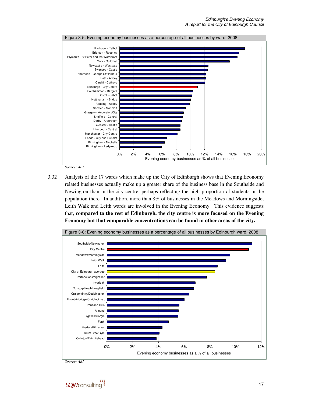

3.32 Analysis of the 17 wards which make up the City of Edinburgh shows that Evening Economy related businesses actually make up a greater share of the business base in the Southside and Newington than in the city centre, perhaps reflecting the high proportion of students in the population there. In addition, more than 8% of businesses in the Meadows and Morningside, Leith Walk and Leith wards are involved in the Evening Economy. This evidence suggests that, **compared to the rest of Edinburgh, the city centre is more focused on the Evening** 



*Source: ABI* 

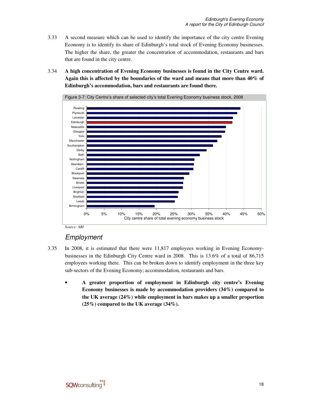- 3.33 A second measure which can be used to identify the importance of the city centre Evening Economy is to identify its share of Edinburgh's total stock of Evening Economy businesses. The higher the share, the greater the concentration of accommodation, restaurants and bars that are found in the city centre.
- 3.34 **A high concentration of Evening Economy businesses is found in the City Centre ward. Again this is affected by the boundaries of the ward and means that more than 40% of Edinburgh's accommodation, bars and restaurants are found there.**



Figure 3-7: City Centre's share of selected city's total Evening Economy business stock, 2008

### Employment

- 3.35 In 2008, it is estimated that there were 11,817 employees working in Evening Economybusinesses in the Edinburgh City Centre ward in 2008. This is 13.6% of a total of 86,715 employees working there. This can be broken down to identify employment in the three key sub-sectors of the Evening Economy; accommodation, restaurants and bars.
	- **A greater proportion of employment in Edinburgh city centre's Evening Economy businesses is made by accommodation providers (34%) compared to the UK average (24%) while employment in bars makes up a smaller proportion (25%) compared to the UK average (34%).**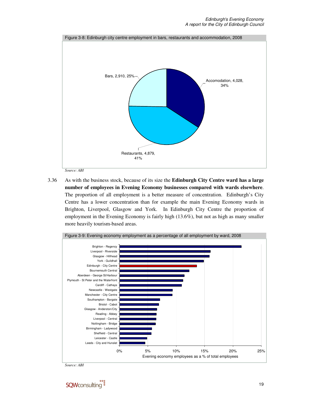

- 
- 3.36 As with the business stock, because of its size the **Edinburgh City Centre ward has a large number of employees in Evening Economy businesses compared with wards elsewhere**. The proportion of all employment is a better measure of concentration. Edinburgh's City Centre has a lower concentration than for example the main Evening Economy wards in Brighton, Liverpool, Glasgow and York. In Edinburgh City Centre the proportion of employment in the Evening Economy is fairly high (13.6%), but not as high as many smaller more heavily tourism-based areas.



*Source: ABI*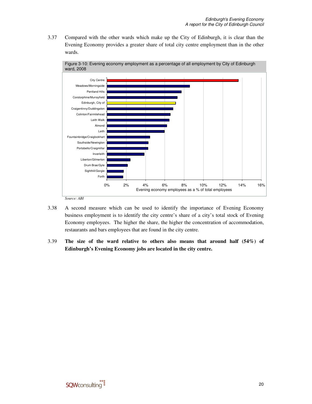3.37 Compared with the other wards which make up the City of Edinburgh, it is clear than the Evening Economy provides a greater share of total city centre employment than in the other wards.



Figure 3-10: Evening economy employment as a percentage of all employment by City of Edinburgh ward, 2008

- 3.38 A second measure which can be used to identify the importance of Evening Economy business employment is to identify the city centre's share of a city's total stock of Evening Economy employees. The higher the share, the higher the concentration of accommodation, restaurants and bars employees that are found in the city centre.
- 3.39 **The size of the ward relative to others also means that around half (54%) of Edinburgh's Evening Economy jobs are located in the city centre.**

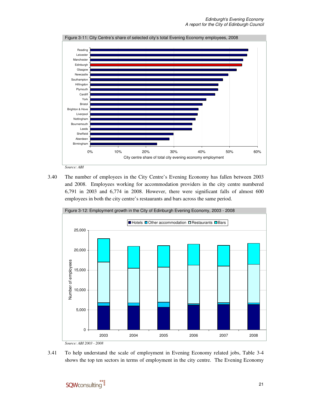

3.40 The number of employees in the City Centre's Evening Economy has fallen between 2003 and 2008. Employees working for accommodation providers in the city centre numbered 6,791 in 2003 and 6,774 in 2008. However, there were significant falls of almost 600 employees in both the city centre's restaurants and bars across the same period.



3.41 To help understand the scale of employment in Evening Economy related jobs, Table 3-4 shows the top ten sectors in terms of employment in the city centre. The Evening Economy

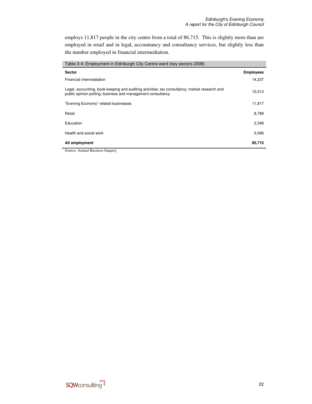employs 11,817 people in the city centre from a total of 86,715. This is slightly more than are employed in retail and in legal, accountancy and consultancy services, but slightly less than the number employed in financial intermediation.

| $\mu$ abic 0-4. Linployingin in Lumburgh Only Ognite ward (Key Sectors 2000)                                                                                 |                  |
|--------------------------------------------------------------------------------------------------------------------------------------------------------------|------------------|
| <b>Sector</b>                                                                                                                                                | <b>Employees</b> |
| Financial intermediation                                                                                                                                     | 14,237           |
| Legal, accounting, book-keeping and auditing activities; tax consultancy; market research and<br>public opinion polling; business and management consultancy | 10,513           |
| "Evening Economy" related businesses                                                                                                                         | 11,817           |
| Retail                                                                                                                                                       | 8,789            |
| Education                                                                                                                                                    | 2,348            |
| Health and social work                                                                                                                                       | 5,066            |
| All employment                                                                                                                                               | 85,715           |

Table 3-4: Employment in Edinburgh City Centre ward (key sectors 2008)

Source: Annual Business Enquiry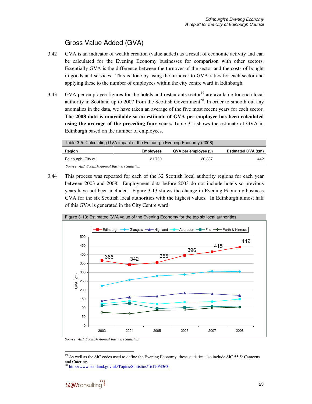## Gross Value Added (GVA)

- 3.42 GVA is an indicator of wealth creation (value added) as a result of economic activity and can be calculated for the Evening Economy businesses for comparison with other sectors. Essentially GVA is the difference between the turnover of the sector and the costs of bought in goods and services. This is done by using the turnover to GVA ratios for each sector and applying these to the number of employees within the city centre ward in Edinburgh.
- 3.43 GVA per employee figures for the hotels and restaurants sector<sup>19</sup> are available for each local authority in Scotland up to 2007 from the Scottish Government<sup>20</sup>. In order to smooth out any anomalies in the data, we have taken an average of the five most recent years for each sector. **The 2008 data is unavailable so an estimate of GVA per employee has been calculated using the average of the preceding four years.** Table 3-5 shows the estimate of GVA in Edinburgh based on the number of employees.

| Table 3-5: Calculating GVA impact of the Edinburgh Evening Economy (2008) |                  |                          |                    |  |  |  |  |  |
|---------------------------------------------------------------------------|------------------|--------------------------|--------------------|--|--|--|--|--|
| Region                                                                    | <b>Employees</b> | $GVA$ per employee $(E)$ | Estimated GVA (£m) |  |  |  |  |  |
| Edinburgh, City of                                                        | 21.700           | 20.387                   | 442                |  |  |  |  |  |
| Source: ABI, Scottish Annual Business Statistics                          |                  |                          |                    |  |  |  |  |  |

3.44 This process was repeated for each of the 32 Scottish local authority regions for each year between 2003 and 2008. Employment data before 2003 do not include hotels so previous years have not been included. Figure 3-13 shows the change in Evening Economy business GVA for the six Scottish local authorities with the highest values. In Edinburgh almost half of this GVA is generated in the City Centre ward.



Figure 3-13: Estimated GVA value of the Evening Economy for the top six local authorities

*Source: ABI, Scottish Annual Business Statistics* 

<sup>20</sup> http://www.scotland.gov.uk/Topics/Statistics/16170/4363



-

<sup>&</sup>lt;sup>19</sup> As well as the SIC codes used to define the Evening Economy, these statistics also include SIC 55.5: Canteens and Catering.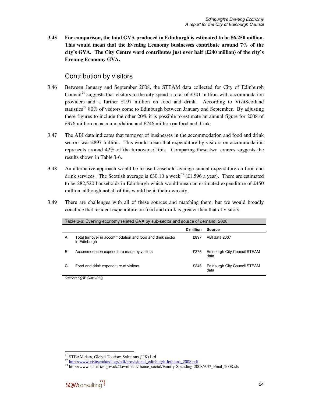**3.45 For comparison, the total GVA produced in Edinburgh is estimated to be £6,250 million. This would mean that the Evening Economy businesses contribute around 7% of the city's GVA. The City Centre ward contributes just over half (£240 million) of the city's Evening Economy GVA.** 

## Contribution by visitors

- 3.46 Between January and September 2008, the STEAM data collected for City of Edinburgh Council<sup>21</sup> suggests that visitors to the city spend a total of £301 million with accommodation providers and a further £197 million on food and drink. According to VisitScotland statistics<sup>22</sup> 80% of visitors come to Edinburgh between January and September. By adjusting these figures to include the other 20% it is possible to estimate an annual figure for 2008 of £376 million on accommodation and £246 million on food and drink.
- 3.47 The ABI data indicates that turnover of businesses in the accommodation and food and drink sectors was £897 million. This would mean that expenditure by visitors on accommodation represents around 42% of the turnover of this. Comparing these two sources suggests the results shown in Table 3-6.
- 3.48 An alternative approach would be to use household average annual expenditure on food and drink services. The Scottish average is £30.10 a week<sup>23</sup> (£1,596 a year). There are estimated to be 282,520 households in Edinburgh which would mean an estimated expenditure of £450 million, although not all of this would be in their own city.
- 3.49 There are challenges with all of these sources and matching them, but we would broadly conclude that resident expenditure on food and drink is greater than that of visitors.

Table 3-6: Evening economy related GVA by sub-sector and source of demand, 2008

|   |                                                                           | £ million | Source                               |
|---|---------------------------------------------------------------------------|-----------|--------------------------------------|
| A | Total turnover in accommodation and food and drink sector<br>in Edinburgh | £897      | ABI data 2007                        |
| в | Accommodation expenditure made by visitors                                | £376      | Edinburgh City Council STEAM<br>data |
| C | Food and drink expenditure of visitors                                    | £246      | Edinburgh City Council STEAM<br>data |
|   |                                                                           |           |                                      |

*Source: SQW Consulting* 

<sup>-</sup><sup>21</sup> STEAM data, Global Tourism Solutions (UK) Ltd

<sup>&</sup>lt;sup>22</sup> http://www.visitscotland.org/pdf/provisional\_edinburgh-lothians\_2008.pdf

<sup>&</sup>lt;sup>23</sup> http://www.statistics.gov.uk/downloads/theme\_social/Family-Spending-2008/A37\_Final\_2008.xls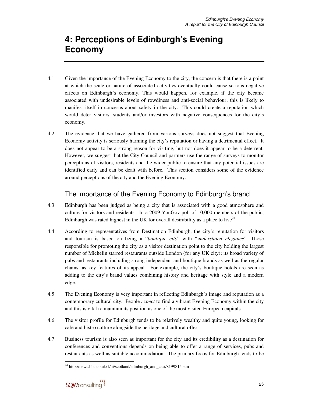## **4: Perceptions of Edinburgh's Evening Economy**

- 4.1 Given the importance of the Evening Economy to the city, the concern is that there is a point at which the scale or nature of associated activities eventually could cause serious negative effects on Edinburgh's economy. This would happen, for example, if the city became associated with undesirable levels of rowdiness and anti-social behaviour; this is likely to manifest itself in concerns about safety in the city. This could create a reputation which would deter visitors, students and/or investors with negative consequences for the city's economy.
- 4.2 The evidence that we have gathered from various surveys does not suggest that Evening Economy activity is seriously harming the city's reputation or having a detrimental effect. It does not appear to be a strong reason for visiting, but nor does it appear to be a deterrent. However, we suggest that the City Council and partners use the range of surveys to monitor perceptions of visitors, residents and the wider public to ensure that any potential issues are identified early and can be dealt with before. This section considers some of the evidence around perceptions of the city and the Evening Economy.

## The importance of the Evening Economy to Edinburgh's brand

- 4.3 Edinburgh has been judged as being a city that is associated with a good atmosphere and culture for visitors and residents. In a 2009 YouGov poll of 10,000 members of the public, Edinburgh was rated highest in the UK for overall desirability as a place to live<sup>24</sup>.
- 4.4 According to representatives from Destination Edinburgh, the city's reputation for visitors and tourism is based on being a "*boutique city*" with "*understated elegance*". Those responsible for promoting the city as a visitor destination point to the city holding the largest number of Michelin starred restaurants outside London (for any UK city); its broad variety of pubs and restaurants including strong independent and boutique brands as well as the regular chains, as key features of its appeal. For example, the city's boutique hotels are seen as adding to the city's brand values combining history and heritage with style and a modern edge.
- 4.5 The Evening Economy is very important in reflecting Edinburgh's image and reputation as a contemporary cultural city. People *expect* to find a vibrant Evening Economy within the city and this is vital to maintain its position as one of the most visited European capitals.
- 4.6 The visitor profile for Edinburgh tends to be relatively wealthy and quite young, looking for café and bistro culture alongside the heritage and cultural offer.
- 4.7 Business tourism is also seen as important for the city and its credibility as a destination for conferences and conventions depends on being able to offer a range of services, pubs and restaurants as well as suitable accommodation. The primary focus for Edinburgh tends to be

<sup>-</sup><sup>24</sup> http://news.bbc.co.uk/1/hi/scotland/edinburgh\_and\_east/8199815.stm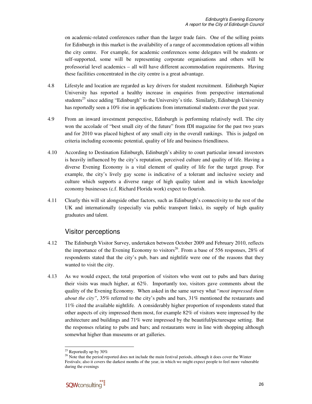on academic-related conferences rather than the larger trade fairs. One of the selling points for Edinburgh in this market is the availability of a range of accommodation options all within the city centre. For example, for academic conferences some delegates will be students or self-supported, some will be representing corporate organisations and others will be professorial level academics – all will have different accommodation requirements. Having these facilities concentrated in the city centre is a great advantage.

- 4.8 Lifestyle and location are regarded as key drivers for student recruitment. Edinburgh Napier University has reported a healthy increase in enquiries from perspective international students<sup>25</sup> since adding "Edinburgh" to the University's title. Similarly, Edinburgh University has reportedly seen a 10% rise in applications from international students over the past year.
- 4.9 From an inward investment perspective, Edinburgh is performing relatively well. The city won the accolade of "best small city of the future" from fDI magazine for the past two years and for 2010 was placed highest of any small city in the overall rankings. This is judged on criteria including economic potential, quality of life and business friendliness.
- 4.10 According to Destination Edinburgh, Edinburgh's ability to court particular inward investors is heavily influenced by the city's reputation, perceived culture and quality of life. Having a diverse Evening Economy is a vital element of quality of life for the target group. For example, the city's lively gay scene is indicative of a tolerant and inclusive society and culture which supports a diverse range of high quality talent and in which knowledge economy businesses (c.f. Richard Florida work) expect to flourish.
- 4.11 Clearly this will sit alongside other factors, such as Edinburgh's connectivity to the rest of the UK and internationally (especially via public transport links), its supply of high quality graduates and talent.

### Visitor perceptions

- 4.12 The Edinburgh Visitor Survey, undertaken between October 2009 and February 2010, reflects the importance of the Evening Economy to visitors<sup>26</sup>. From a base of 556 responses, 28% of respondents stated that the city's pub, bars and nightlife were one of the reasons that they wanted to visit the city.
- 4.13 As we would expect, the total proportion of visitors who went out to pubs and bars during their visits was much higher, at 62%. Importantly too, visitors gave comments about the quality of the Evening Economy. When asked in the same survey what "*most impressed them about the city"*, 35% referred to the city's pubs and bars, 31% mentioned the restaurants and 11% cited the available nightlife*.* A considerably higher proportion of respondents stated that other aspects of city impressed them most, for example 82% of visitors were impressed by the architecture and buildings and 71% were impressed by the beautiful/picturesque setting. But the responses relating to pubs and bars; and restaurants were in line with shopping although somewhat higher than museums or art galleries.

<sup>-</sup> $25$  Reportedly up by 30%

<sup>&</sup>lt;sup>26</sup> Note that the period reported does not include the main festival periods, although it does cover the Winter Festivals; also it covers the darkest months of the year, in which we might expect people to feel more vulnerable during the evenings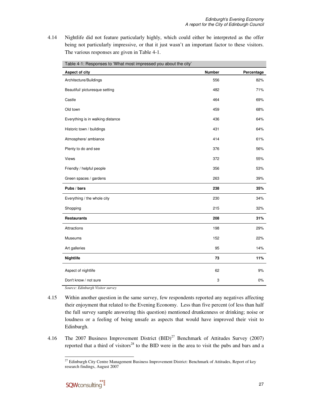4.14 Nightlife did not feature particularly highly, which could either be interpreted as the offer being not particularly impressive, or that it just wasn't an important factor to these visitors. The various responses are given in Table 4-1.

| Aspect of city                    | <b>Number</b> | Percentage |
|-----------------------------------|---------------|------------|
| Architecture/Buildings            | 556           | 82%        |
| Beautiful/ picturesque setting    | 482           | 71%        |
| Castle                            | 464           | 69%        |
| Old town                          | 459           | 68%        |
| Everything is in walking distance | 436           | 64%        |
| Historic town / buildings         | 431           | 64%        |
| Atmosphere/ ambiance              | 414           | 61%        |
| Plenty to do and see              | 376           | 56%        |
| Views                             | 372           | 55%        |
| Friendly / helpful people         | 356           | 53%        |
| Green spaces / gardens            | 263           | 39%        |
| Pubs / bars                       | 238           | 35%        |
| Everything / the whole city       | 230           | 34%        |
| Shopping                          | 215           | 32%        |
| <b>Restaurants</b>                | 208           | 31%        |
| Attractions                       | 198           | 29%        |
| Museums                           | 152           | 22%        |
| Art galleries                     | 95            | 14%        |
| Nightlife                         | 73            | 11%        |
| Aspect of nightlife               | 62            | 9%         |
| Don't know / not sure             | 3             | 0%         |

Table 4-1: Responses to 'What most impressed you about the city'

*Source: Edinburgh Visitor survey* 

- 4.15 Within another question in the same survey, few respondents reported any negatives affecting their enjoyment that related to the Evening Economy. Less than five percent (of less than half the full survey sample answering this question) mentioned drunkenness or drinking; noise or loudness or a feeling of being unsafe as aspects that would have improved their visit to Edinburgh.
- 4.16 The 2007 Business Improvement District (BID)<sup>27</sup> Benchmark of Attitudes Survey (2007) reported that a third of visitors<sup>28</sup> to the BID were in the area to visit the pubs and bars and a

 $\overline{\phantom{a}}$  $^{27}$  Edinburgh City Centre Management Business Improvement District: Benchmark of Attitudes, Report of key research findings, August 2007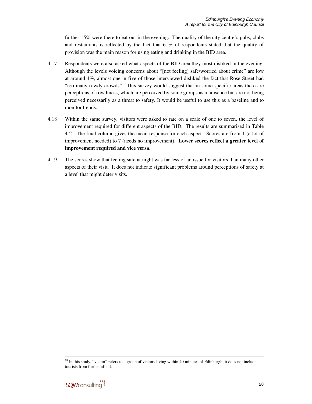further 15% were there to eat out in the evening. The quality of the city centre's pubs, clubs and restaurants is reflected by the fact that 61% of respondents stated that the quality of provision was the main reason for using eating and drinking in the BID area.

- 4.17 Respondents were also asked what aspects of the BID area they most disliked in the evening. Although the levels voicing concerns about "[not feeling] safe/worried about crime" are low at around 4%, almost one in five of those interviewed disliked the fact that Rose Street had "too many rowdy crowds". This survey would suggest that in some specific areas there are perceptions of rowdiness, which are perceived by some groups as a nuisance but are not being perceived necessarily as a threat to safety. It would be useful to use this as a baseline and to monitor trends.
- 4.18 Within the same survey, visitors were asked to rate on a scale of one to seven, the level of improvement required for different aspects of the BID. The results are summarised in Table 4-2. The final column gives the mean response for each aspect. Scores are from 1 (a lot of improvement needed) to 7 (needs no improvement). **Lower scores reflect a greater level of improvement required and vice versa**.
- 4.19 The scores show that feeling safe at night was far less of an issue for visitors than many other aspects of their visit. It does not indicate significant problems around perceptions of safety at a level that might deter visits.

 $\overline{\phantom{a}}$  $2<sup>28</sup>$  In this study, "visitor" refers to a group of visitors living within 40 minutes of Edinburgh; it does not include tourists from further afield.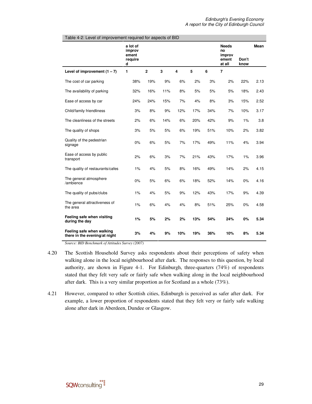| Table 4-2: Level of improvement required for aspects of BID |                                             |                |     |                         |     |     |                                                 |               |      |
|-------------------------------------------------------------|---------------------------------------------|----------------|-----|-------------------------|-----|-----|-------------------------------------------------|---------------|------|
|                                                             | a lot of<br>improv<br>ement<br>require<br>d |                |     |                         |     |     | <b>Needs</b><br>no<br>improv<br>ement<br>at all | Don't<br>know | Mean |
| Level of improvement $(1 – 7)$                              | 1                                           | $\overline{2}$ | 3   | $\overline{\mathbf{4}}$ | 5   | 6   | $\overline{7}$                                  |               |      |
| The cost of car parking                                     | 38%                                         | 19%            | 9%  | 6%                      | 2%  | 3%  | 2%                                              | 22%           | 2.13 |
| The availability of parking                                 | 32%                                         | 16%            | 11% | 8%                      | 5%  | 5%  | 5%                                              | 18%           | 2.43 |
| Ease of access by car                                       | 24%                                         | 24%            | 15% | 7%                      | 4%  | 8%  | 3%                                              | 15%           | 2.52 |
| Child/family friendliness                                   | 3%                                          | 8%             | 9%  | 12%                     | 17% | 34% | 7%                                              | 10%           | 3.17 |
| The cleanliness of the streets                              | 2%                                          | 6%             | 14% | 6%                      | 20% | 42% | 9%                                              | 1%            | 3.8  |
| The quality of shops                                        | 3%                                          | 5%             | 5%  | 6%                      | 19% | 51% | 10%                                             | 2%            | 3.82 |
| Quality of the pedestrian<br>signage                        | 0%                                          | 6%             | 5%  | 7%                      | 17% | 49% | 11%                                             | 4%            | 3.94 |
| Ease of access by public<br>transport                       | 2%                                          | 6%             | 3%  | 7%                      | 21% | 43% | 17%                                             | 1%            | 3.96 |
| The quality of restaurants/cafes                            | 1%                                          | 4%             | 5%  | 8%                      | 16% | 49% | 14%                                             | 2%            | 4.15 |
| The general atmosphere<br>/ambience                         | 0%                                          | 5%             | 6%  | 6%                      | 18% | 52% | 14%                                             | 0%            | 4.16 |
| The quality of pubs/clubs                                   | 1%                                          | 4%             | 5%  | 9%                      | 12% | 43% | 17%                                             | 9%            | 4.39 |
| The general attractiveness of<br>the area                   | 1%                                          | 6%             | 4%  | 4%                      | 8%  | 51% | 25%                                             | 0%            | 4.58 |
| Feeling safe when visiting<br>during the day                | 1%                                          | 5%             | 2%  | 2%                      | 13% | 54% | 24%                                             | 0%            | 5.34 |
| Feeling safe when walking<br>there in the evening/at night  | 3%                                          | 4%             | 9%  | 10%                     | 19% | 36% | 10%                                             | 8%            | 5.34 |

*Source: BID Benchmark of Attitudes Survey (2007)* 

- 4.20 The Scottish Household Survey asks respondents about their perceptions of safety when walking alone in the local neighbourhood after dark. The responses to this question, by local authority, are shown in Figure 4-1. For Edinburgh, three-quarters (74%) of respondents stated that they felt very safe or fairly safe when walking along in the local neighbourhood after dark. This is a very similar proportion as for Scotland as a whole (73%).
- 4.21 However, compared to other Scottish cities, Edinburgh is perceived as safer after dark. For example, a lower proportion of respondents stated that they felt very or fairly safe walking alone after dark in Aberdeen, Dundee or Glasgow.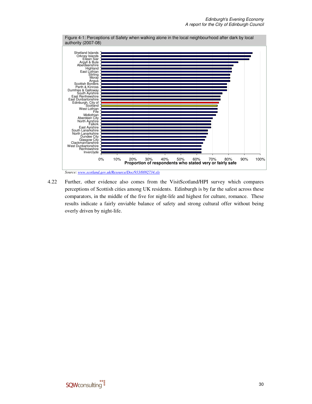

4.22 Further, other evidence also comes from the VisitScotland/HPI survey which compares perceptions of Scottish cities among UK residents. Edinburgh is by far the safest across these comparators, in the middle of the five for night-life and highest for culture, romance. These results indicate a fairly enviable balance of safety and strong cultural offer without being overly driven by night-life.

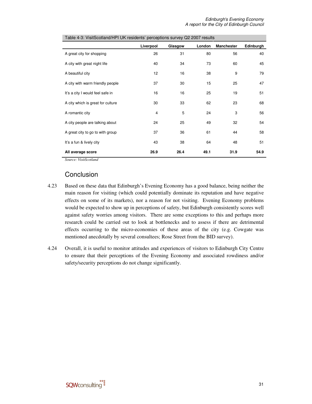|                                   | Liverpool | Glasgow | London | <b>Manchester</b> | Edinburgh |
|-----------------------------------|-----------|---------|--------|-------------------|-----------|
| A great city for shopping         | 26        | 31      | 80     | 56                | 40        |
| A city with great night life      | 40        | 34      | 73     | 60                | 45        |
| A beautiful city                  | 12        | 16      | 38     | 9                 | 79        |
| A city with warm friendly people  | 37        | 30      | 15     | 25                | 47        |
| It's a city I would feel safe in  | 16        | 16      | 25     | 19                | 51        |
| A city which is great for culture | 30        | 33      | 62     | 23                | 68        |
| A romantic city                   | 4         | 5       | 24     | 3                 | 56        |
| A city people are talking about   | 24        | 25      | 49     | 32                | 54        |
| A great city to go to with group  | 37        | 36      | 61     | 44                | 58        |
| It's a fun & lively city          | 43        | 38      | 64     | 48                | 51        |
| All average score                 | 26.9      | 26.4    | 49.1   | 31.9              | 54.9      |

Table 4-3: VisitScotland/HPI UK residents' perceptions survey Q2 2007 results

*Source: VisitScotland* 

### Conclusion

- 4.23 Based on these data that Edinburgh's Evening Economy has a good balance, being neither the main reason for visiting (which could potentially dominate its reputation and have negative effects on some of its markets), nor a reason for not visiting. Evening Economy problems would be expected to show up in perceptions of safety, but Edinburgh consistently scores well against safety worries among visitors. There are some exceptions to this and perhaps more research could be carried out to look at bottlenecks and to assess if there are detrimental effects occurring to the micro-economies of these areas of the city (e.g. Cowgate was mentioned anecdotally by several consultees; Rose Street from the BID survey).
- 4.24 Overall, it is useful to monitor attitudes and experiences of visitors to Edinburgh City Centre to ensure that their perceptions of the Evening Economy and associated rowdiness and/or safety/security perceptions do not change significantly.

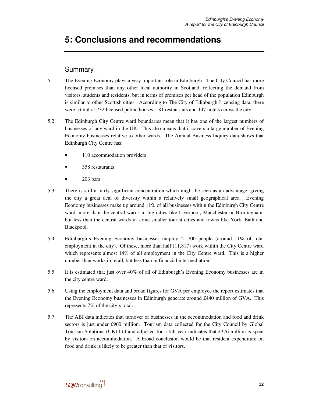## **5: Conclusions and recommendations**

## Summary

- 5.1 The Evening Economy plays a very important role in Edinburgh. The City Council has more licensed premises than any other local authority in Scotland, reflecting the demand from visitors, students and residents, but in terms of premises per head of the population Edinburgh is similar to other Scottish cities. According to The City of Edinburgh Licensing data, there were a total of 732 licensed public houses, 181 restaurants and 147 hotels across the city.
- 5.2 The Edinburgh City Centre ward boundaries mean that it has one of the largest numbers of businesses of any ward in the UK. This also means that it covers a large number of Evening Economy businesses relative to other wards. The Annual Business Inquiry data shows that Edinburgh City Centre has:
	- 110 accommodation providers
	- 358 restaurants
	- 203 bars
- 5.3 There is still a fairly significant concentration which might be seen as an advantage, giving the city a great deal of diversity within a relatively small geographical area. Evening Economy businesses make up around 11% of all businesses within the Edinburgh City Centre ward, more than the central wards in big cities like Liverpool, Manchester or Birmingham, but less than the central wards in some smaller tourist cities and towns like York, Bath and Blackpool.
- 5.4 Edinburgh's Evening Economy businesses employ 21,700 people (around 11% of total employment in the city). Of these, more than half (11,817) work within the City Centre ward which represents almost 14% of all employment in the City Centre ward. This is a higher number than works in retail, but less than in financial intermediation.
- 5.5 It is estimated that just over 40% of all of Edinburgh's Evening Economy businesses are in the city centre ward.
- 5.6 Using the employment data and broad figures for GVA per employee the report estimates that the Evening Economy businesses in Edinburgh generate around £440 million of GVA. This represents 7% of the city's total.
- 5.7 The ABI data indicates that turnover of businesses in the accommodation and food and drink sectors is just under £900 million. Tourism data collected for the City Council by Global Tourism Solutions (UK) Ltd and adjusted for a full year indicates that £376 million is spent by visitors on accommodation. A broad conclusion would be that resident expenditure on food and drink is likely to be greater than that of visitors.